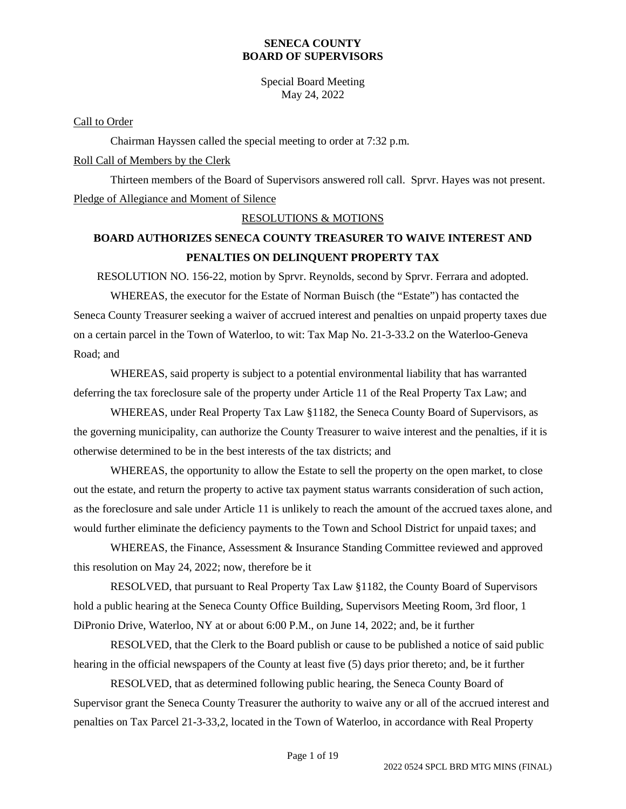Special Board Meeting May 24, 2022

Call to Order

Chairman Hayssen called the special meeting to order at 7:32 p.m. Roll Call of Members by the Clerk

Thirteen members of the Board of Supervisors answered roll call. Sprvr. Hayes was not present. Pledge of Allegiance and Moment of Silence

### RESOLUTIONS & MOTIONS

## **BOARD AUTHORIZES SENECA COUNTY TREASURER TO WAIVE INTEREST AND PENALTIES ON DELINQUENT PROPERTY TAX**

RESOLUTION NO. 156-22, motion by Sprvr. Reynolds, second by Sprvr. Ferrara and adopted.

WHEREAS, the executor for the Estate of Norman Buisch (the "Estate") has contacted the Seneca County Treasurer seeking a waiver of accrued interest and penalties on unpaid property taxes due on a certain parcel in the Town of Waterloo, to wit: Tax Map No. 21-3-33.2 on the Waterloo-Geneva Road; and

WHEREAS, said property is subject to a potential environmental liability that has warranted deferring the tax foreclosure sale of the property under Article 11 of the Real Property Tax Law; and

WHEREAS, under Real Property Tax Law §1182, the Seneca County Board of Supervisors, as the governing municipality, can authorize the County Treasurer to waive interest and the penalties, if it is otherwise determined to be in the best interests of the tax districts; and

WHEREAS, the opportunity to allow the Estate to sell the property on the open market, to close out the estate, and return the property to active tax payment status warrants consideration of such action, as the foreclosure and sale under Article 11 is unlikely to reach the amount of the accrued taxes alone, and would further eliminate the deficiency payments to the Town and School District for unpaid taxes; and

WHEREAS, the Finance, Assessment & Insurance Standing Committee reviewed and approved this resolution on May 24, 2022; now, therefore be it

RESOLVED, that pursuant to Real Property Tax Law §1182, the County Board of Supervisors hold a public hearing at the Seneca County Office Building, Supervisors Meeting Room, 3rd floor, 1 DiPronio Drive, Waterloo, NY at or about 6:00 P.M., on June 14, 2022; and, be it further

RESOLVED, that the Clerk to the Board publish or cause to be published a notice of said public hearing in the official newspapers of the County at least five (5) days prior thereto; and, be it further

RESOLVED, that as determined following public hearing, the Seneca County Board of Supervisor grant the Seneca County Treasurer the authority to waive any or all of the accrued interest and penalties on Tax Parcel 21-3-33,2, located in the Town of Waterloo, in accordance with Real Property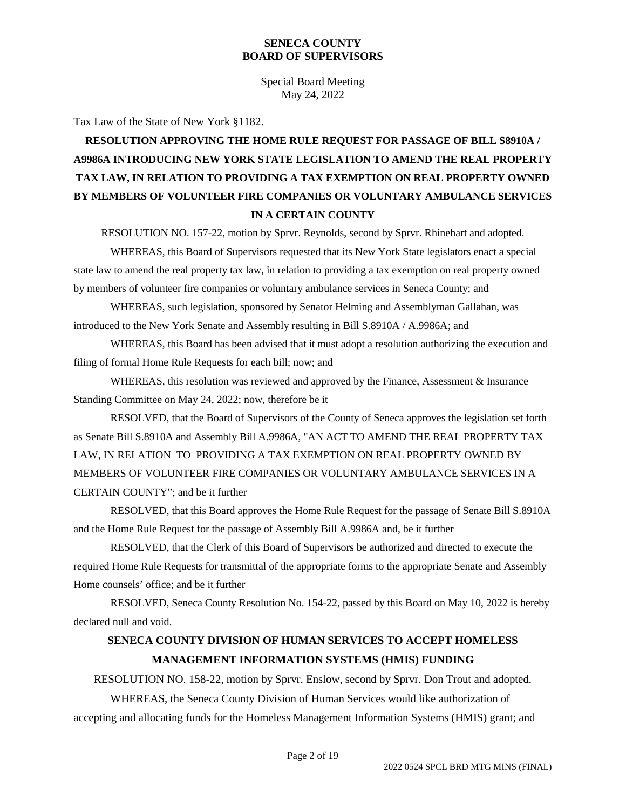Special Board Meeting May 24, 2022

Tax Law of the State of New York §1182.

# **RESOLUTION APPROVING THE HOME RULE REQUEST FOR PASSAGE OF BILL S8910A / A9986A INTRODUCING NEW YORK STATE LEGISLATION TO AMEND THE REAL PROPERTY TAX LAW, IN RELATION TO PROVIDING A TAX EXEMPTION ON REAL PROPERTY OWNED BY MEMBERS OF VOLUNTEER FIRE COMPANIES OR VOLUNTARY AMBULANCE SERVICES IN A CERTAIN COUNTY**

RESOLUTION NO. 157-22, motion by Sprvr. Reynolds, second by Sprvr. Rhinehart and adopted.

WHEREAS, this Board of Supervisors requested that its New York State legislators enact a special state law to amend the real property tax law, in relation to providing a tax exemption on real property owned by members of volunteer fire companies or voluntary ambulance services in Seneca County; and

WHEREAS, such legislation, sponsored by Senator Helming and Assemblyman Gallahan, was introduced to the New York Senate and Assembly resulting in Bill S.8910A / A.9986A; and

WHEREAS, this Board has been advised that it must adopt a resolution authorizing the execution and filing of formal Home Rule Requests for each bill; now; and

WHEREAS, this resolution was reviewed and approved by the Finance, Assessment & Insurance Standing Committee on May 24, 2022; now, therefore be it

RESOLVED, that the Board of Supervisors of the County of Seneca approves the legislation set forth as Senate Bill S.8910A and Assembly Bill A.9986A, "AN ACT TO AMEND THE REAL PROPERTY TAX LAW, IN RELATION TO PROVIDING A TAX EXEMPTION ON REAL PROPERTY OWNED BY MEMBERS OF VOLUNTEER FIRE COMPANIES OR VOLUNTARY AMBULANCE SERVICES IN A CERTAIN COUNTY"; and be it further

RESOLVED, that this Board approves the Home Rule Request for the passage of Senate Bill S.8910A and the Home Rule Request for the passage of Assembly Bill A.9986A and, be it further

RESOLVED, that the Clerk of this Board of Supervisors be authorized and directed to execute the required Home Rule Requests for transmittal of the appropriate forms to the appropriate Senate and Assembly Home counsels' office; and be it further

RESOLVED, Seneca County Resolution No. 154-22, passed by this Board on May 10, 2022 is hereby declared null and void.

## **SENECA COUNTY DIVISION OF HUMAN SERVICES TO ACCEPT HOMELESS MANAGEMENT INFORMATION SYSTEMS (HMIS) FUNDING**

RESOLUTION NO. 158-22, motion by Sprvr. Enslow, second by Sprvr. Don Trout and adopted.

WHEREAS, the Seneca County Division of Human Services would like authorization of accepting and allocating funds for the Homeless Management Information Systems (HMIS) grant; and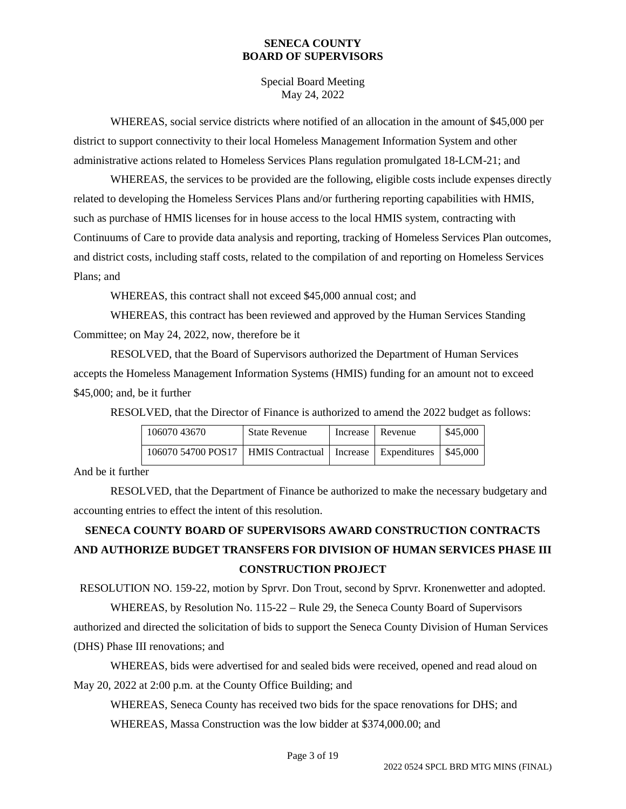Special Board Meeting May 24, 2022

WHEREAS, social service districts where notified of an allocation in the amount of \$45,000 per district to support connectivity to their local Homeless Management Information System and other administrative actions related to Homeless Services Plans regulation promulgated 18-LCM-21; and

WHEREAS, the services to be provided are the following, eligible costs include expenses directly related to developing the Homeless Services Plans and/or furthering reporting capabilities with HMIS, such as purchase of HMIS licenses for in house access to the local HMIS system, contracting with Continuums of Care to provide data analysis and reporting, tracking of Homeless Services Plan outcomes, and district costs, including staff costs, related to the compilation of and reporting on Homeless Services Plans; and

WHEREAS, this contract shall not exceed \$45,000 annual cost; and

WHEREAS, this contract has been reviewed and approved by the Human Services Standing Committee; on May 24, 2022, now, therefore be it

RESOLVED, that the Board of Supervisors authorized the Department of Human Services accepts the Homeless Management Information Systems (HMIS) funding for an amount not to exceed \$45,000; and, be it further

RESOLVED, that the Director of Finance is authorized to amend the 2022 budget as follows:

| 106070 43670                                                    | <b>State Revenue</b> | Increase   Revenue | \$45,000 |
|-----------------------------------------------------------------|----------------------|--------------------|----------|
| 106070 54700 POS17   HMIS Contractual   Increase   Expenditures |                      |                    | \$45,000 |

And be it further

RESOLVED, that the Department of Finance be authorized to make the necessary budgetary and accounting entries to effect the intent of this resolution.

# **SENECA COUNTY BOARD OF SUPERVISORS AWARD CONSTRUCTION CONTRACTS AND AUTHORIZE BUDGET TRANSFERS FOR DIVISION OF HUMAN SERVICES PHASE III CONSTRUCTION PROJECT**

RESOLUTION NO. 159-22, motion by Sprvr. Don Trout, second by Sprvr. Kronenwetter and adopted.

WHEREAS, by Resolution No. 115-22 – Rule 29, the Seneca County Board of Supervisors authorized and directed the solicitation of bids to support the Seneca County Division of Human Services (DHS) Phase III renovations; and

WHEREAS, bids were advertised for and sealed bids were received, opened and read aloud on May 20, 2022 at 2:00 p.m. at the County Office Building; and

WHEREAS, Seneca County has received two bids for the space renovations for DHS; and WHEREAS, Massa Construction was the low bidder at \$374,000.00; and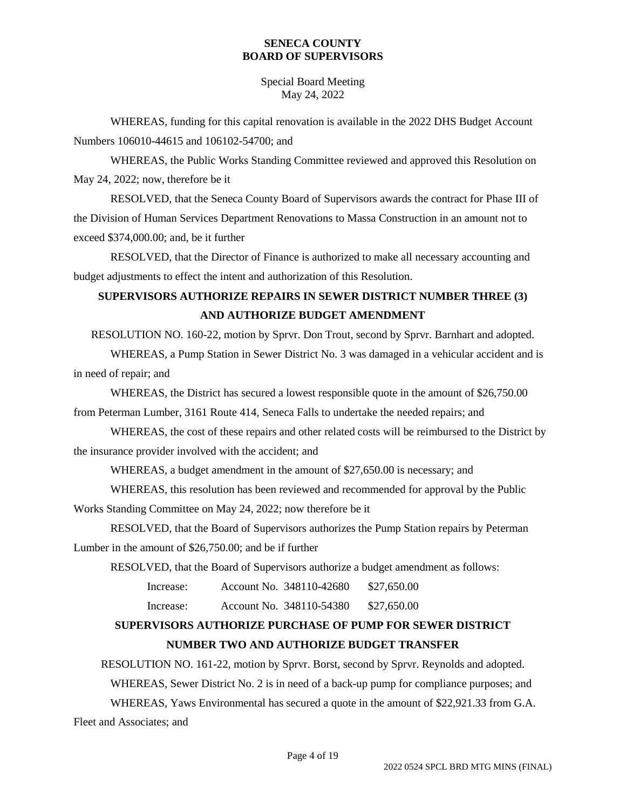## Special Board Meeting May 24, 2022

WHEREAS, funding for this capital renovation is available in the 2022 DHS Budget Account Numbers 106010-44615 and 106102-54700; and

WHEREAS, the Public Works Standing Committee reviewed and approved this Resolution on May 24, 2022; now, therefore be it

RESOLVED, that the Seneca County Board of Supervisors awards the contract for Phase III of the Division of Human Services Department Renovations to Massa Construction in an amount not to exceed \$374,000.00; and, be it further

RESOLVED, that the Director of Finance is authorized to make all necessary accounting and budget adjustments to effect the intent and authorization of this Resolution.

# **SUPERVISORS AUTHORIZE REPAIRS IN SEWER DISTRICT NUMBER THREE (3) AND AUTHORIZE BUDGET AMENDMENT**

RESOLUTION NO. 160-22, motion by Sprvr. Don Trout, second by Sprvr. Barnhart and adopted.

WHEREAS, a Pump Station in Sewer District No. 3 was damaged in a vehicular accident and is in need of repair; and

WHEREAS, the District has secured a lowest responsible quote in the amount of \$26,750.00 from Peterman Lumber, 3161 Route 414, Seneca Falls to undertake the needed repairs; and

WHEREAS, the cost of these repairs and other related costs will be reimbursed to the District by the insurance provider involved with the accident; and

WHEREAS, a budget amendment in the amount of \$27,650.00 is necessary; and

WHEREAS, this resolution has been reviewed and recommended for approval by the Public

Works Standing Committee on May 24, 2022; now therefore be it

RESOLVED, that the Board of Supervisors authorizes the Pump Station repairs by Peterman Lumber in the amount of \$26,750.00; and be if further

RESOLVED, that the Board of Supervisors authorize a budget amendment as follows:

Increase: Account No. 348110-42680 \$27,650.00

Increase: Account No. 348110-54380 \$27,650.00

## **SUPERVISORS AUTHORIZE PURCHASE OF PUMP FOR SEWER DISTRICT NUMBER TWO AND AUTHORIZE BUDGET TRANSFER**

RESOLUTION NO. 161-22, motion by Sprvr. Borst, second by Sprvr. Reynolds and adopted. WHEREAS, Sewer District No. 2 is in need of a back-up pump for compliance purposes; and WHEREAS, Yaws Environmental has secured a quote in the amount of \$22,921.33 from G.A. Fleet and Associates; and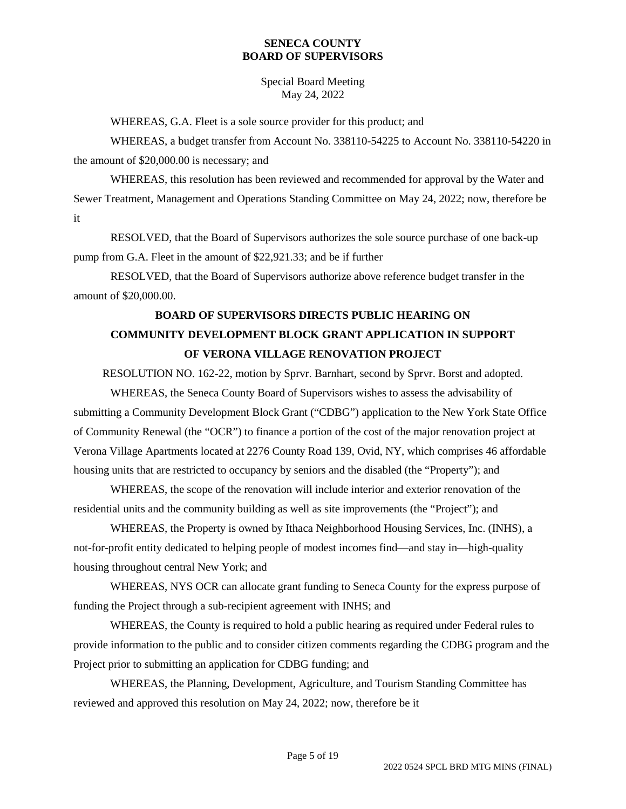Special Board Meeting May 24, 2022

WHEREAS, G.A. Fleet is a sole source provider for this product; and

WHEREAS, a budget transfer from Account No. 338110-54225 to Account No. 338110-54220 in the amount of \$20,000.00 is necessary; and

WHEREAS, this resolution has been reviewed and recommended for approval by the Water and Sewer Treatment, Management and Operations Standing Committee on May 24, 2022; now, therefore be it

RESOLVED, that the Board of Supervisors authorizes the sole source purchase of one back-up pump from G.A. Fleet in the amount of \$22,921.33; and be if further

RESOLVED, that the Board of Supervisors authorize above reference budget transfer in the amount of \$20,000.00.

## **BOARD OF SUPERVISORS DIRECTS PUBLIC HEARING ON COMMUNITY DEVELOPMENT BLOCK GRANT APPLICATION IN SUPPORT OF VERONA VILLAGE RENOVATION PROJECT**

RESOLUTION NO. 162-22, motion by Sprvr. Barnhart, second by Sprvr. Borst and adopted.

WHEREAS, the Seneca County Board of Supervisors wishes to assess the advisability of submitting a Community Development Block Grant ("CDBG") application to the New York State Office of Community Renewal (the "OCR") to finance a portion of the cost of the major renovation project at Verona Village Apartments located at 2276 County Road 139, Ovid, NY, which comprises 46 affordable housing units that are restricted to occupancy by seniors and the disabled (the "Property"); and

WHEREAS, the scope of the renovation will include interior and exterior renovation of the residential units and the community building as well as site improvements (the "Project"); and

WHEREAS, the Property is owned by Ithaca Neighborhood Housing Services, Inc. (INHS), a not-for-profit entity dedicated to helping people of modest incomes find—and stay in—high-quality housing throughout central New York; and

WHEREAS, NYS OCR can allocate grant funding to Seneca County for the express purpose of funding the Project through a sub-recipient agreement with INHS; and

WHEREAS, the County is required to hold a public hearing as required under Federal rules to provide information to the public and to consider citizen comments regarding the CDBG program and the Project prior to submitting an application for CDBG funding; and

WHEREAS, the Planning, Development, Agriculture, and Tourism Standing Committee has reviewed and approved this resolution on May 24, 2022; now, therefore be it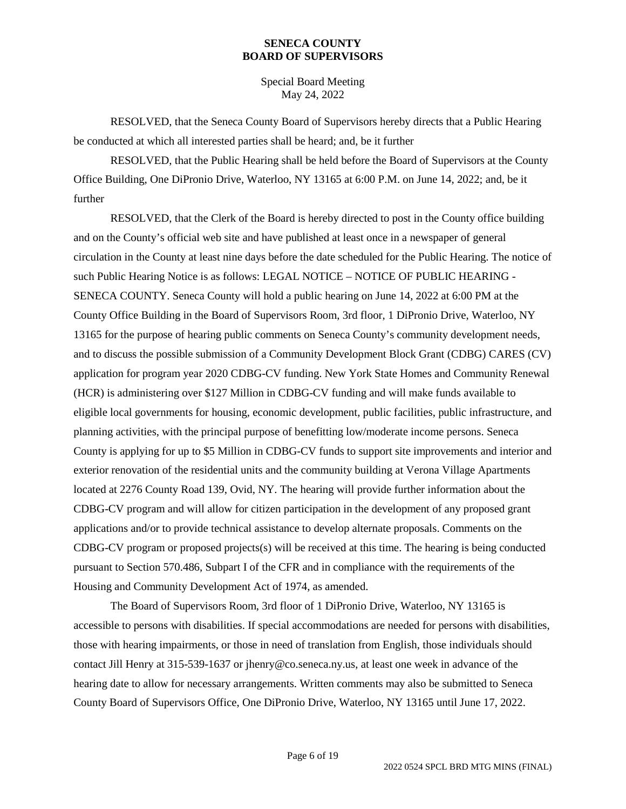Special Board Meeting May 24, 2022

RESOLVED, that the Seneca County Board of Supervisors hereby directs that a Public Hearing be conducted at which all interested parties shall be heard; and, be it further

RESOLVED, that the Public Hearing shall be held before the Board of Supervisors at the County Office Building, One DiPronio Drive, Waterloo, NY 13165 at 6:00 P.M. on June 14, 2022; and, be it further

RESOLVED, that the Clerk of the Board is hereby directed to post in the County office building and on the County's official web site and have published at least once in a newspaper of general circulation in the County at least nine days before the date scheduled for the Public Hearing. The notice of such Public Hearing Notice is as follows: LEGAL NOTICE – NOTICE OF PUBLIC HEARING - SENECA COUNTY. Seneca County will hold a public hearing on June 14, 2022 at 6:00 PM at the County Office Building in the Board of Supervisors Room, 3rd floor, 1 DiPronio Drive, Waterloo, NY 13165 for the purpose of hearing public comments on Seneca County's community development needs, and to discuss the possible submission of a Community Development Block Grant (CDBG) CARES (CV) application for program year 2020 CDBG-CV funding. New York State Homes and Community Renewal (HCR) is administering over \$127 Million in CDBG-CV funding and will make funds available to eligible local governments for housing, economic development, public facilities, public infrastructure, and planning activities, with the principal purpose of benefitting low/moderate income persons. Seneca County is applying for up to \$5 Million in CDBG-CV funds to support site improvements and interior and exterior renovation of the residential units and the community building at Verona Village Apartments located at 2276 County Road 139, Ovid, NY. The hearing will provide further information about the CDBG-CV program and will allow for citizen participation in the development of any proposed grant applications and/or to provide technical assistance to develop alternate proposals. Comments on the CDBG-CV program or proposed projects(s) will be received at this time. The hearing is being conducted pursuant to Section 570.486, Subpart I of the CFR and in compliance with the requirements of the Housing and Community Development Act of 1974, as amended.

The Board of Supervisors Room, 3rd floor of 1 DiPronio Drive, Waterloo, NY 13165 is accessible to persons with disabilities. If special accommodations are needed for persons with disabilities, those with hearing impairments, or those in need of translation from English, those individuals should contact Jill Henry at 315-539-1637 or jhenry@co.seneca.ny.us, at least one week in advance of the hearing date to allow for necessary arrangements. Written comments may also be submitted to Seneca County Board of Supervisors Office, One DiPronio Drive, Waterloo, NY 13165 until June 17, 2022.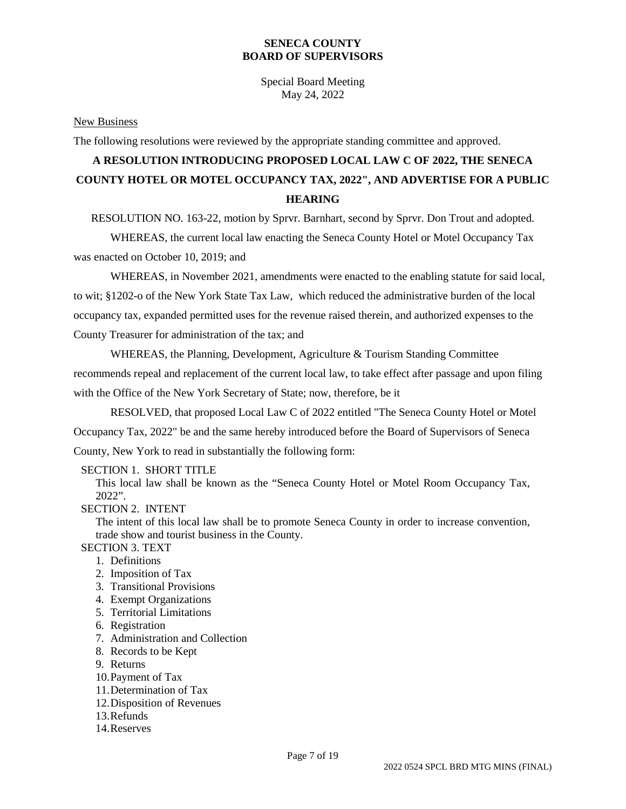Special Board Meeting May 24, 2022

#### New Business

The following resolutions were reviewed by the appropriate standing committee and approved.

# **A RESOLUTION INTRODUCING PROPOSED LOCAL LAW C OF 2022, THE SENECA COUNTY HOTEL OR MOTEL OCCUPANCY TAX, 2022", AND ADVERTISE FOR A PUBLIC HEARING**

RESOLUTION NO. 163-22, motion by Sprvr. Barnhart, second by Sprvr. Don Trout and adopted.

WHEREAS, the current local law enacting the Seneca County Hotel or Motel Occupancy Tax was enacted on October 10, 2019; and

WHEREAS, in November 2021, amendments were enacted to the enabling statute for said local, to wit; §1202-o of the New York State Tax Law, which reduced the administrative burden of the local occupancy tax, expanded permitted uses for the revenue raised therein, and authorized expenses to the County Treasurer for administration of the tax; and

WHEREAS, the Planning, Development, Agriculture & Tourism Standing Committee recommends repeal and replacement of the current local law, to take effect after passage and upon filing with the Office of the New York Secretary of State; now, therefore, be it

RESOLVED, that proposed Local Law C of 2022 entitled "The Seneca County Hotel or Motel Occupancy Tax, 2022" be and the same hereby introduced before the Board of Supervisors of Seneca County, New York to read in substantially the following form:

#### SECTION 1. SHORT TITLE

This local law shall be known as the "Seneca County Hotel or Motel Room Occupancy Tax, 2022".

#### SECTION 2. INTENT

The intent of this local law shall be to promote Seneca County in order to increase convention, trade show and tourist business in the County.

## SECTION 3. TEXT

- 1. Definitions
- 2. Imposition of Tax
- 3. Transitional Provisions
- 4. Exempt Organizations
- 5. Territorial Limitations
- 6. Registration
- 7. Administration and Collection
- 8. Records to be Kept
- 9. Returns
- 10.Payment of Tax
- 11.Determination of Tax
- 12.Disposition of Revenues
- 13.Refunds
- 14.Reserves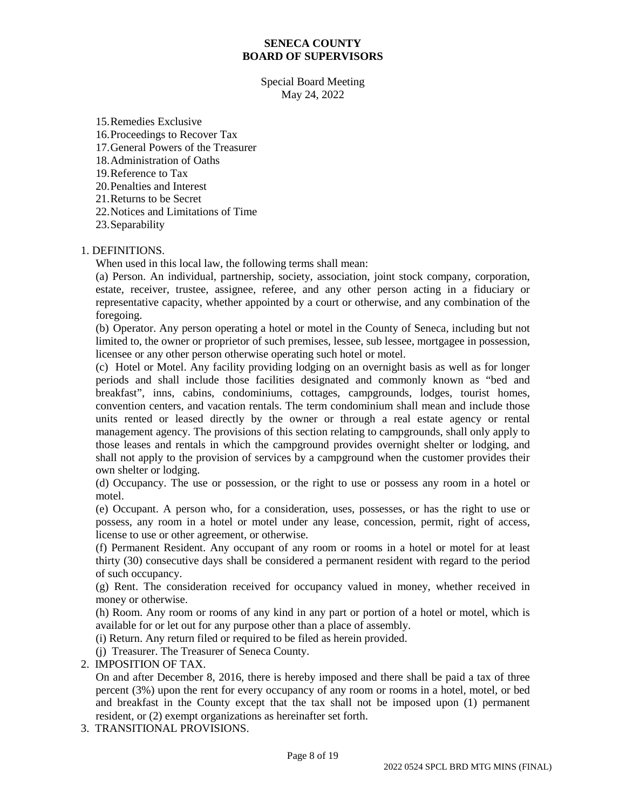Special Board Meeting May 24, 2022

15.Remedies Exclusive 16.Proceedings to Recover Tax 17.General Powers of the Treasurer 18.Administration of Oaths 19.Reference to Tax 20.Penalties and Interest 21.Returns to be Secret 22.Notices and Limitations of Time 23.Separability

## 1. DEFINITIONS.

When used in this local law, the following terms shall mean:

(a) Person. An individual, partnership, society, association, joint stock company, corporation, estate, receiver, trustee, assignee, referee, and any other person acting in a fiduciary or representative capacity, whether appointed by a court or otherwise, and any combination of the foregoing.

(b) Operator. Any person operating a hotel or motel in the County of Seneca, including but not limited to, the owner or proprietor of such premises, lessee, sub lessee, mortgagee in possession, licensee or any other person otherwise operating such hotel or motel.

(c) Hotel or Motel. Any facility providing lodging on an overnight basis as well as for longer periods and shall include those facilities designated and commonly known as "bed and breakfast", inns, cabins, condominiums, cottages, campgrounds, lodges, tourist homes, convention centers, and vacation rentals. The term condominium shall mean and include those units rented or leased directly by the owner or through a real estate agency or rental management agency. The provisions of this section relating to campgrounds, shall only apply to those leases and rentals in which the campground provides overnight shelter or lodging, and shall not apply to the provision of services by a campground when the customer provides their own shelter or lodging.

(d) Occupancy. The use or possession, or the right to use or possess any room in a hotel or motel.

(e) Occupant. A person who, for a consideration, uses, possesses, or has the right to use or possess, any room in a hotel or motel under any lease, concession, permit, right of access, license to use or other agreement, or otherwise.

(f) Permanent Resident. Any occupant of any room or rooms in a hotel or motel for at least thirty (30) consecutive days shall be considered a permanent resident with regard to the period of such occupancy.

(g) Rent. The consideration received for occupancy valued in money, whether received in money or otherwise.

(h) Room. Any room or rooms of any kind in any part or portion of a hotel or motel, which is available for or let out for any purpose other than a place of assembly.

(i) Return. Any return filed or required to be filed as herein provided.

(j) Treasurer. The Treasurer of Seneca County.

#### 2. IMPOSITION OF TAX.

On and after December 8, 2016, there is hereby imposed and there shall be paid a tax of three percent (3%) upon the rent for every occupancy of any room or rooms in a hotel, motel, or bed and breakfast in the County except that the tax shall not be imposed upon (1) permanent resident, or (2) exempt organizations as hereinafter set forth.

3. TRANSITIONAL PROVISIONS.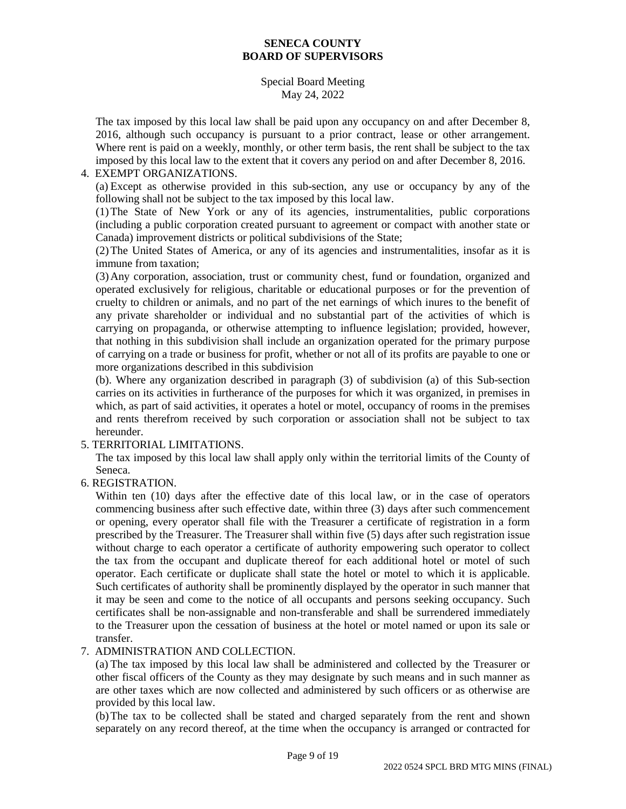## Special Board Meeting May 24, 2022

The tax imposed by this local law shall be paid upon any occupancy on and after December 8, 2016, although such occupancy is pursuant to a prior contract, lease or other arrangement. Where rent is paid on a weekly, monthly, or other term basis, the rent shall be subject to the tax imposed by this local law to the extent that it covers any period on and after December 8, 2016.

## 4. EXEMPT ORGANIZATIONS.

(a) Except as otherwise provided in this sub-section, any use or occupancy by any of the following shall not be subject to the tax imposed by this local law.

(1)The State of New York or any of its agencies, instrumentalities, public corporations (including a public corporation created pursuant to agreement or compact with another state or Canada) improvement districts or political subdivisions of the State;

(2)The United States of America, or any of its agencies and instrumentalities, insofar as it is immune from taxation;

(3)Any corporation, association, trust or community chest, fund or foundation, organized and operated exclusively for religious, charitable or educational purposes or for the prevention of cruelty to children or animals, and no part of the net earnings of which inures to the benefit of any private shareholder or individual and no substantial part of the activities of which is carrying on propaganda, or otherwise attempting to influence legislation; provided, however, that nothing in this subdivision shall include an organization operated for the primary purpose of carrying on a trade or business for profit, whether or not all of its profits are payable to one or more organizations described in this subdivision

(b). Where any organization described in paragraph (3) of subdivision (a) of this Sub-section carries on its activities in furtherance of the purposes for which it was organized, in premises in which, as part of said activities, it operates a hotel or motel, occupancy of rooms in the premises and rents therefrom received by such corporation or association shall not be subject to tax hereunder.

## 5. TERRITORIAL LIMITATIONS.

The tax imposed by this local law shall apply only within the territorial limits of the County of Seneca.

6. REGISTRATION.

Within ten (10) days after the effective date of this local law, or in the case of operators commencing business after such effective date, within three (3) days after such commencement or opening, every operator shall file with the Treasurer a certificate of registration in a form prescribed by the Treasurer. The Treasurer shall within five (5) days after such registration issue without charge to each operator a certificate of authority empowering such operator to collect the tax from the occupant and duplicate thereof for each additional hotel or motel of such operator. Each certificate or duplicate shall state the hotel or motel to which it is applicable. Such certificates of authority shall be prominently displayed by the operator in such manner that it may be seen and come to the notice of all occupants and persons seeking occupancy. Such certificates shall be non-assignable and non-transferable and shall be surrendered immediately to the Treasurer upon the cessation of business at the hotel or motel named or upon its sale or transfer.

## 7. ADMINISTRATION AND COLLECTION.

(a) The tax imposed by this local law shall be administered and collected by the Treasurer or other fiscal officers of the County as they may designate by such means and in such manner as are other taxes which are now collected and administered by such officers or as otherwise are provided by this local law.

(b)The tax to be collected shall be stated and charged separately from the rent and shown separately on any record thereof, at the time when the occupancy is arranged or contracted for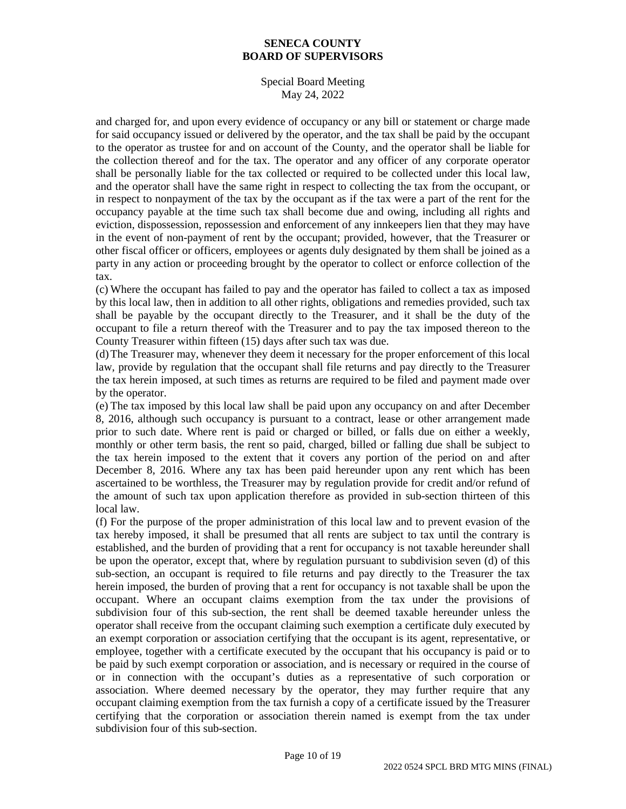Special Board Meeting May 24, 2022

and charged for, and upon every evidence of occupancy or any bill or statement or charge made for said occupancy issued or delivered by the operator, and the tax shall be paid by the occupant to the operator as trustee for and on account of the County, and the operator shall be liable for the collection thereof and for the tax. The operator and any officer of any corporate operator shall be personally liable for the tax collected or required to be collected under this local law, and the operator shall have the same right in respect to collecting the tax from the occupant, or in respect to nonpayment of the tax by the occupant as if the tax were a part of the rent for the occupancy payable at the time such tax shall become due and owing, including all rights and eviction, dispossession, repossession and enforcement of any innkeepers lien that they may have in the event of non-payment of rent by the occupant; provided, however, that the Treasurer or other fiscal officer or officers, employees or agents duly designated by them shall be joined as a party in any action or proceeding brought by the operator to collect or enforce collection of the tax.

(c) Where the occupant has failed to pay and the operator has failed to collect a tax as imposed by this local law, then in addition to all other rights, obligations and remedies provided, such tax shall be payable by the occupant directly to the Treasurer, and it shall be the duty of the occupant to file a return thereof with the Treasurer and to pay the tax imposed thereon to the County Treasurer within fifteen (15) days after such tax was due.

(d)The Treasurer may, whenever they deem it necessary for the proper enforcement of this local law, provide by regulation that the occupant shall file returns and pay directly to the Treasurer the tax herein imposed, at such times as returns are required to be filed and payment made over by the operator.

(e) The tax imposed by this local law shall be paid upon any occupancy on and after December 8, 2016, although such occupancy is pursuant to a contract, lease or other arrangement made prior to such date. Where rent is paid or charged or billed, or falls due on either a weekly, monthly or other term basis, the rent so paid, charged, billed or falling due shall be subject to the tax herein imposed to the extent that it covers any portion of the period on and after December 8, 2016. Where any tax has been paid hereunder upon any rent which has been ascertained to be worthless, the Treasurer may by regulation provide for credit and/or refund of the amount of such tax upon application therefore as provided in sub-section thirteen of this local law.

(f) For the purpose of the proper administration of this local law and to prevent evasion of the tax hereby imposed, it shall be presumed that all rents are subject to tax until the contrary is established, and the burden of providing that a rent for occupancy is not taxable hereunder shall be upon the operator, except that, where by regulation pursuant to subdivision seven (d) of this sub-section, an occupant is required to file returns and pay directly to the Treasurer the tax herein imposed, the burden of proving that a rent for occupancy is not taxable shall be upon the occupant. Where an occupant claims exemption from the tax under the provisions of subdivision four of this sub-section, the rent shall be deemed taxable hereunder unless the operator shall receive from the occupant claiming such exemption a certificate duly executed by an exempt corporation or association certifying that the occupant is its agent, representative, or employee, together with a certificate executed by the occupant that his occupancy is paid or to be paid by such exempt corporation or association, and is necessary or required in the course of or in connection with the occupant's duties as a representative of such corporation or association. Where deemed necessary by the operator, they may further require that any occupant claiming exemption from the tax furnish a copy of a certificate issued by the Treasurer certifying that the corporation or association therein named is exempt from the tax under subdivision four of this sub-section.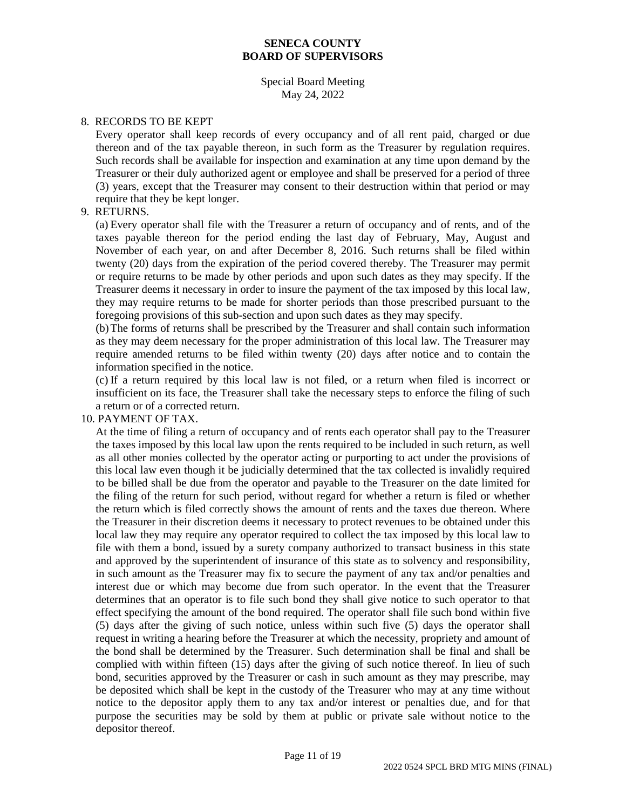#### Special Board Meeting May 24, 2022

#### 8. RECORDS TO BE KEPT

Every operator shall keep records of every occupancy and of all rent paid, charged or due thereon and of the tax payable thereon, in such form as the Treasurer by regulation requires. Such records shall be available for inspection and examination at any time upon demand by the Treasurer or their duly authorized agent or employee and shall be preserved for a period of three (3) years, except that the Treasurer may consent to their destruction within that period or may require that they be kept longer.

#### 9. RETURNS.

(a) Every operator shall file with the Treasurer a return of occupancy and of rents, and of the taxes payable thereon for the period ending the last day of February, May, August and November of each year, on and after December 8, 2016. Such returns shall be filed within twenty (20) days from the expiration of the period covered thereby. The Treasurer may permit or require returns to be made by other periods and upon such dates as they may specify. If the Treasurer deems it necessary in order to insure the payment of the tax imposed by this local law, they may require returns to be made for shorter periods than those prescribed pursuant to the foregoing provisions of this sub-section and upon such dates as they may specify.

(b)The forms of returns shall be prescribed by the Treasurer and shall contain such information as they may deem necessary for the proper administration of this local law. The Treasurer may require amended returns to be filed within twenty (20) days after notice and to contain the information specified in the notice.

(c) If a return required by this local law is not filed, or a return when filed is incorrect or insufficient on its face, the Treasurer shall take the necessary steps to enforce the filing of such a return or of a corrected return.

#### 10. PAYMENT OF TAX.

At the time of filing a return of occupancy and of rents each operator shall pay to the Treasurer the taxes imposed by this local law upon the rents required to be included in such return, as well as all other monies collected by the operator acting or purporting to act under the provisions of this local law even though it be judicially determined that the tax collected is invalidly required to be billed shall be due from the operator and payable to the Treasurer on the date limited for the filing of the return for such period, without regard for whether a return is filed or whether the return which is filed correctly shows the amount of rents and the taxes due thereon. Where the Treasurer in their discretion deems it necessary to protect revenues to be obtained under this local law they may require any operator required to collect the tax imposed by this local law to file with them a bond, issued by a surety company authorized to transact business in this state and approved by the superintendent of insurance of this state as to solvency and responsibility, in such amount as the Treasurer may fix to secure the payment of any tax and/or penalties and interest due or which may become due from such operator. In the event that the Treasurer determines that an operator is to file such bond they shall give notice to such operator to that effect specifying the amount of the bond required. The operator shall file such bond within five (5) days after the giving of such notice, unless within such five (5) days the operator shall request in writing a hearing before the Treasurer at which the necessity, propriety and amount of the bond shall be determined by the Treasurer. Such determination shall be final and shall be complied with within fifteen (15) days after the giving of such notice thereof. In lieu of such bond, securities approved by the Treasurer or cash in such amount as they may prescribe, may be deposited which shall be kept in the custody of the Treasurer who may at any time without notice to the depositor apply them to any tax and/or interest or penalties due, and for that purpose the securities may be sold by them at public or private sale without notice to the depositor thereof.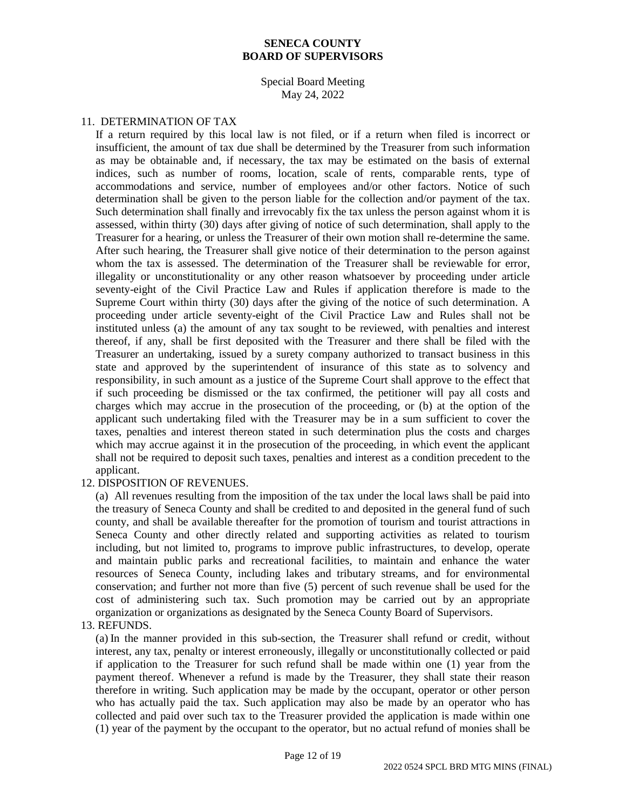#### Special Board Meeting May 24, 2022

#### 11. DETERMINATION OF TAX

If a return required by this local law is not filed, or if a return when filed is incorrect or insufficient, the amount of tax due shall be determined by the Treasurer from such information as may be obtainable and, if necessary, the tax may be estimated on the basis of external indices, such as number of rooms, location, scale of rents, comparable rents, type of accommodations and service, number of employees and/or other factors. Notice of such determination shall be given to the person liable for the collection and/or payment of the tax. Such determination shall finally and irrevocably fix the tax unless the person against whom it is assessed, within thirty (30) days after giving of notice of such determination, shall apply to the Treasurer for a hearing, or unless the Treasurer of their own motion shall re-determine the same. After such hearing, the Treasurer shall give notice of their determination to the person against whom the tax is assessed. The determination of the Treasurer shall be reviewable for error, illegality or unconstitutionality or any other reason whatsoever by proceeding under article seventy-eight of the Civil Practice Law and Rules if application therefore is made to the Supreme Court within thirty (30) days after the giving of the notice of such determination. A proceeding under article seventy-eight of the Civil Practice Law and Rules shall not be instituted unless (a) the amount of any tax sought to be reviewed, with penalties and interest thereof, if any, shall be first deposited with the Treasurer and there shall be filed with the Treasurer an undertaking, issued by a surety company authorized to transact business in this state and approved by the superintendent of insurance of this state as to solvency and responsibility, in such amount as a justice of the Supreme Court shall approve to the effect that if such proceeding be dismissed or the tax confirmed, the petitioner will pay all costs and charges which may accrue in the prosecution of the proceeding, or (b) at the option of the applicant such undertaking filed with the Treasurer may be in a sum sufficient to cover the taxes, penalties and interest thereon stated in such determination plus the costs and charges which may accrue against it in the prosecution of the proceeding, in which event the applicant shall not be required to deposit such taxes, penalties and interest as a condition precedent to the applicant.

#### 12. DISPOSITION OF REVENUES.

(a) All revenues resulting from the imposition of the tax under the local laws shall be paid into the treasury of Seneca County and shall be credited to and deposited in the general fund of such county, and shall be available thereafter for the promotion of tourism and tourist attractions in Seneca County and other directly related and supporting activities as related to tourism including, but not limited to, programs to improve public infrastructures, to develop, operate and maintain public parks and recreational facilities, to maintain and enhance the water resources of Seneca County, including lakes and tributary streams, and for environmental conservation; and further not more than five (5) percent of such revenue shall be used for the cost of administering such tax. Such promotion may be carried out by an appropriate organization or organizations as designated by the Seneca County Board of Supervisors.

#### 13. REFUNDS.

(a) In the manner provided in this sub-section, the Treasurer shall refund or credit, without interest, any tax, penalty or interest erroneously, illegally or unconstitutionally collected or paid if application to the Treasurer for such refund shall be made within one (1) year from the payment thereof. Whenever a refund is made by the Treasurer, they shall state their reason therefore in writing. Such application may be made by the occupant, operator or other person who has actually paid the tax. Such application may also be made by an operator who has collected and paid over such tax to the Treasurer provided the application is made within one (1) year of the payment by the occupant to the operator, but no actual refund of monies shall be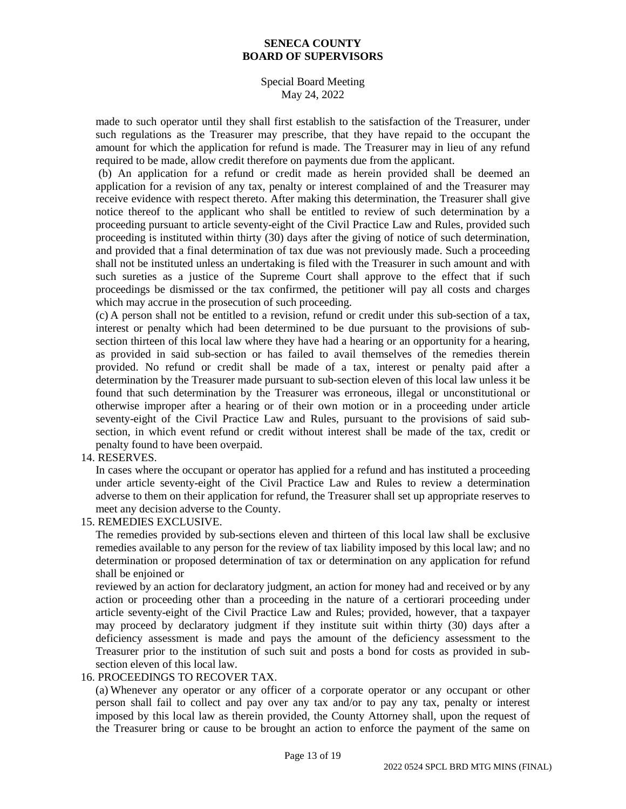## Special Board Meeting May 24, 2022

made to such operator until they shall first establish to the satisfaction of the Treasurer, under such regulations as the Treasurer may prescribe, that they have repaid to the occupant the amount for which the application for refund is made. The Treasurer may in lieu of any refund required to be made, allow credit therefore on payments due from the applicant.

(b) An application for a refund or credit made as herein provided shall be deemed an application for a revision of any tax, penalty or interest complained of and the Treasurer may receive evidence with respect thereto. After making this determination, the Treasurer shall give notice thereof to the applicant who shall be entitled to review of such determination by a proceeding pursuant to article seventy-eight of the Civil Practice Law and Rules, provided such proceeding is instituted within thirty (30) days after the giving of notice of such determination, and provided that a final determination of tax due was not previously made. Such a proceeding shall not be instituted unless an undertaking is filed with the Treasurer in such amount and with such sureties as a justice of the Supreme Court shall approve to the effect that if such proceedings be dismissed or the tax confirmed, the petitioner will pay all costs and charges which may accrue in the prosecution of such proceeding.

(c) A person shall not be entitled to a revision, refund or credit under this sub-section of a tax, interest or penalty which had been determined to be due pursuant to the provisions of subsection thirteen of this local law where they have had a hearing or an opportunity for a hearing, as provided in said sub-section or has failed to avail themselves of the remedies therein provided. No refund or credit shall be made of a tax, interest or penalty paid after a determination by the Treasurer made pursuant to sub-section eleven of this local law unless it be found that such determination by the Treasurer was erroneous, illegal or unconstitutional or otherwise improper after a hearing or of their own motion or in a proceeding under article seventy-eight of the Civil Practice Law and Rules, pursuant to the provisions of said subsection, in which event refund or credit without interest shall be made of the tax, credit or penalty found to have been overpaid.

## 14. RESERVES.

In cases where the occupant or operator has applied for a refund and has instituted a proceeding under article seventy-eight of the Civil Practice Law and Rules to review a determination adverse to them on their application for refund, the Treasurer shall set up appropriate reserves to meet any decision adverse to the County.

## 15. REMEDIES EXCLUSIVE.

The remedies provided by sub-sections eleven and thirteen of this local law shall be exclusive remedies available to any person for the review of tax liability imposed by this local law; and no determination or proposed determination of tax or determination on any application for refund shall be enjoined or

reviewed by an action for declaratory judgment, an action for money had and received or by any action or proceeding other than a proceeding in the nature of a certiorari proceeding under article seventy-eight of the Civil Practice Law and Rules; provided, however, that a taxpayer may proceed by declaratory judgment if they institute suit within thirty (30) days after a deficiency assessment is made and pays the amount of the deficiency assessment to the Treasurer prior to the institution of such suit and posts a bond for costs as provided in subsection eleven of this local law.

#### 16. PROCEEDINGS TO RECOVER TAX.

(a) Whenever any operator or any officer of a corporate operator or any occupant or other person shall fail to collect and pay over any tax and/or to pay any tax, penalty or interest imposed by this local law as therein provided, the County Attorney shall, upon the request of the Treasurer bring or cause to be brought an action to enforce the payment of the same on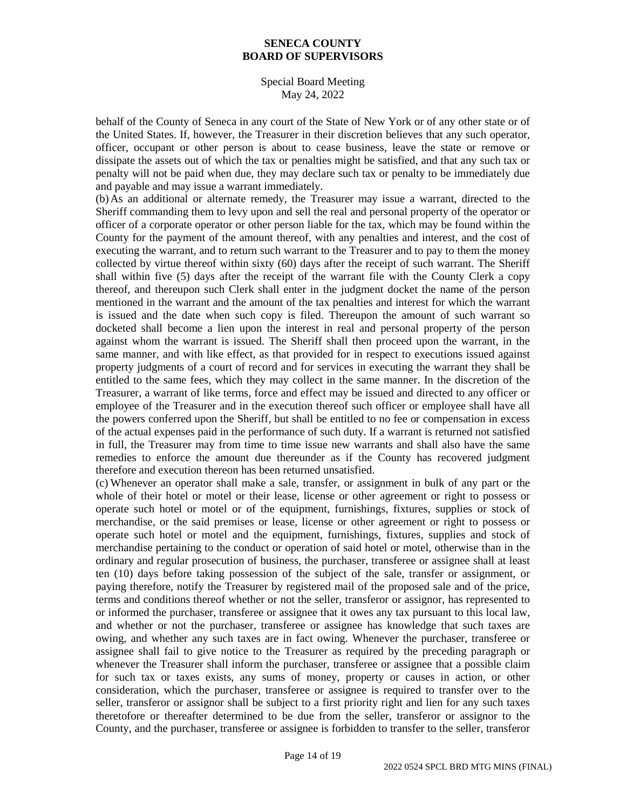### Special Board Meeting May 24, 2022

behalf of the County of Seneca in any court of the State of New York or of any other state or of the United States. If, however, the Treasurer in their discretion believes that any such operator, officer, occupant or other person is about to cease business, leave the state or remove or dissipate the assets out of which the tax or penalties might be satisfied, and that any such tax or penalty will not be paid when due, they may declare such tax or penalty to be immediately due and payable and may issue a warrant immediately.

(b)As an additional or alternate remedy, the Treasurer may issue a warrant, directed to the Sheriff commanding them to levy upon and sell the real and personal property of the operator or officer of a corporate operator or other person liable for the tax, which may be found within the County for the payment of the amount thereof, with any penalties and interest, and the cost of executing the warrant, and to return such warrant to the Treasurer and to pay to them the money collected by virtue thereof within sixty (60) days after the receipt of such warrant. The Sheriff shall within five (5) days after the receipt of the warrant file with the County Clerk a copy thereof, and thereupon such Clerk shall enter in the judgment docket the name of the person mentioned in the warrant and the amount of the tax penalties and interest for which the warrant is issued and the date when such copy is filed. Thereupon the amount of such warrant so docketed shall become a lien upon the interest in real and personal property of the person against whom the warrant is issued. The Sheriff shall then proceed upon the warrant, in the same manner, and with like effect, as that provided for in respect to executions issued against property judgments of a court of record and for services in executing the warrant they shall be entitled to the same fees, which they may collect in the same manner. In the discretion of the Treasurer, a warrant of like terms, force and effect may be issued and directed to any officer or employee of the Treasurer and in the execution thereof such officer or employee shall have all the powers conferred upon the Sheriff, but shall be entitled to no fee or compensation in excess of the actual expenses paid in the performance of such duty. If a warrant is returned not satisfied in full, the Treasurer may from time to time issue new warrants and shall also have the same remedies to enforce the amount due thereunder as if the County has recovered judgment therefore and execution thereon has been returned unsatisfied.

(c) Whenever an operator shall make a sale, transfer, or assignment in bulk of any part or the whole of their hotel or motel or their lease, license or other agreement or right to possess or operate such hotel or motel or of the equipment, furnishings, fixtures, supplies or stock of merchandise, or the said premises or lease, license or other agreement or right to possess or operate such hotel or motel and the equipment, furnishings, fixtures, supplies and stock of merchandise pertaining to the conduct or operation of said hotel or motel, otherwise than in the ordinary and regular prosecution of business, the purchaser, transferee or assignee shall at least ten (10) days before taking possession of the subject of the sale, transfer or assignment, or paying therefore, notify the Treasurer by registered mail of the proposed sale and of the price, terms and conditions thereof whether or not the seller, transferor or assignor, has represented to or informed the purchaser, transferee or assignee that it owes any tax pursuant to this local law, and whether or not the purchaser, transferee or assignee has knowledge that such taxes are owing, and whether any such taxes are in fact owing. Whenever the purchaser, transferee or assignee shall fail to give notice to the Treasurer as required by the preceding paragraph or whenever the Treasurer shall inform the purchaser, transferee or assignee that a possible claim for such tax or taxes exists, any sums of money, property or causes in action, or other consideration, which the purchaser, transferee or assignee is required to transfer over to the seller, transferor or assignor shall be subject to a first priority right and lien for any such taxes theretofore or thereafter determined to be due from the seller, transferor or assignor to the County, and the purchaser, transferee or assignee is forbidden to transfer to the seller, transferor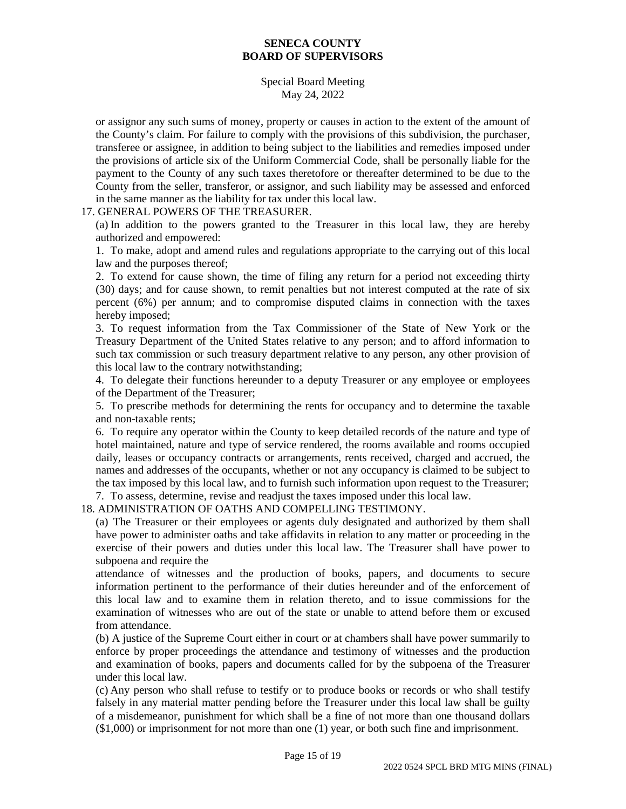Special Board Meeting May 24, 2022

or assignor any such sums of money, property or causes in action to the extent of the amount of the County's claim. For failure to comply with the provisions of this subdivision, the purchaser, transferee or assignee, in addition to being subject to the liabilities and remedies imposed under the provisions of article six of the Uniform Commercial Code, shall be personally liable for the payment to the County of any such taxes theretofore or thereafter determined to be due to the County from the seller, transferor, or assignor, and such liability may be assessed and enforced in the same manner as the liability for tax under this local law.

#### 17. GENERAL POWERS OF THE TREASURER.

(a) In addition to the powers granted to the Treasurer in this local law, they are hereby authorized and empowered:

1. To make, adopt and amend rules and regulations appropriate to the carrying out of this local law and the purposes thereof;

2. To extend for cause shown, the time of filing any return for a period not exceeding thirty (30) days; and for cause shown, to remit penalties but not interest computed at the rate of six percent (6%) per annum; and to compromise disputed claims in connection with the taxes hereby imposed;

3. To request information from the Tax Commissioner of the State of New York or the Treasury Department of the United States relative to any person; and to afford information to such tax commission or such treasury department relative to any person, any other provision of this local law to the contrary notwithstanding;

4. To delegate their functions hereunder to a deputy Treasurer or any employee or employees of the Department of the Treasurer;

5. To prescribe methods for determining the rents for occupancy and to determine the taxable and non-taxable rents;

6. To require any operator within the County to keep detailed records of the nature and type of hotel maintained, nature and type of service rendered, the rooms available and rooms occupied daily, leases or occupancy contracts or arrangements, rents received, charged and accrued, the names and addresses of the occupants, whether or not any occupancy is claimed to be subject to the tax imposed by this local law, and to furnish such information upon request to the Treasurer;

7. To assess, determine, revise and readjust the taxes imposed under this local law.

18. ADMINISTRATION OF OATHS AND COMPELLING TESTIMONY.

(a) The Treasurer or their employees or agents duly designated and authorized by them shall have power to administer oaths and take affidavits in relation to any matter or proceeding in the exercise of their powers and duties under this local law. The Treasurer shall have power to subpoena and require the

attendance of witnesses and the production of books, papers, and documents to secure information pertinent to the performance of their duties hereunder and of the enforcement of this local law and to examine them in relation thereto, and to issue commissions for the examination of witnesses who are out of the state or unable to attend before them or excused from attendance.

(b) A justice of the Supreme Court either in court or at chambers shall have power summarily to enforce by proper proceedings the attendance and testimony of witnesses and the production and examination of books, papers and documents called for by the subpoena of the Treasurer under this local law.

(c) Any person who shall refuse to testify or to produce books or records or who shall testify falsely in any material matter pending before the Treasurer under this local law shall be guilty of a misdemeanor, punishment for which shall be a fine of not more than one thousand dollars (\$1,000) or imprisonment for not more than one (1) year, or both such fine and imprisonment.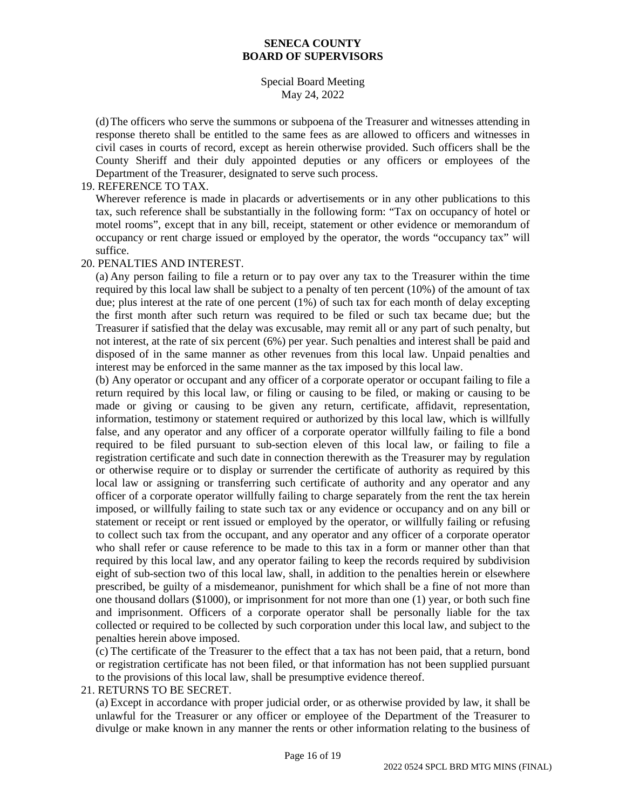## Special Board Meeting May 24, 2022

(d)The officers who serve the summons or subpoena of the Treasurer and witnesses attending in response thereto shall be entitled to the same fees as are allowed to officers and witnesses in civil cases in courts of record, except as herein otherwise provided. Such officers shall be the County Sheriff and their duly appointed deputies or any officers or employees of the Department of the Treasurer, designated to serve such process.

## 19. REFERENCE TO TAX.

Wherever reference is made in placards or advertisements or in any other publications to this tax, such reference shall be substantially in the following form: "Tax on occupancy of hotel or motel rooms", except that in any bill, receipt, statement or other evidence or memorandum of occupancy or rent charge issued or employed by the operator, the words "occupancy tax" will suffice.

#### 20. PENALTIES AND INTEREST.

(a) Any person failing to file a return or to pay over any tax to the Treasurer within the time required by this local law shall be subject to a penalty of ten percent (10%) of the amount of tax due; plus interest at the rate of one percent (1%) of such tax for each month of delay excepting the first month after such return was required to be filed or such tax became due; but the Treasurer if satisfied that the delay was excusable, may remit all or any part of such penalty, but not interest, at the rate of six percent (6%) per year. Such penalties and interest shall be paid and disposed of in the same manner as other revenues from this local law. Unpaid penalties and interest may be enforced in the same manner as the tax imposed by this local law.

(b) Any operator or occupant and any officer of a corporate operator or occupant failing to file a return required by this local law, or filing or causing to be filed, or making or causing to be made or giving or causing to be given any return, certificate, affidavit, representation, information, testimony or statement required or authorized by this local law, which is willfully false, and any operator and any officer of a corporate operator willfully failing to file a bond required to be filed pursuant to sub-section eleven of this local law, or failing to file a registration certificate and such date in connection therewith as the Treasurer may by regulation or otherwise require or to display or surrender the certificate of authority as required by this local law or assigning or transferring such certificate of authority and any operator and any officer of a corporate operator willfully failing to charge separately from the rent the tax herein imposed, or willfully failing to state such tax or any evidence or occupancy and on any bill or statement or receipt or rent issued or employed by the operator, or willfully failing or refusing to collect such tax from the occupant, and any operator and any officer of a corporate operator who shall refer or cause reference to be made to this tax in a form or manner other than that required by this local law, and any operator failing to keep the records required by subdivision eight of sub-section two of this local law, shall, in addition to the penalties herein or elsewhere prescribed, be guilty of a misdemeanor, punishment for which shall be a fine of not more than one thousand dollars (\$1000), or imprisonment for not more than one (1) year, or both such fine and imprisonment. Officers of a corporate operator shall be personally liable for the tax collected or required to be collected by such corporation under this local law, and subject to the penalties herein above imposed.

(c) The certificate of the Treasurer to the effect that a tax has not been paid, that a return, bond or registration certificate has not been filed, or that information has not been supplied pursuant to the provisions of this local law, shall be presumptive evidence thereof.

## 21. RETURNS TO BE SECRET.

(a) Except in accordance with proper judicial order, or as otherwise provided by law, it shall be unlawful for the Treasurer or any officer or employee of the Department of the Treasurer to divulge or make known in any manner the rents or other information relating to the business of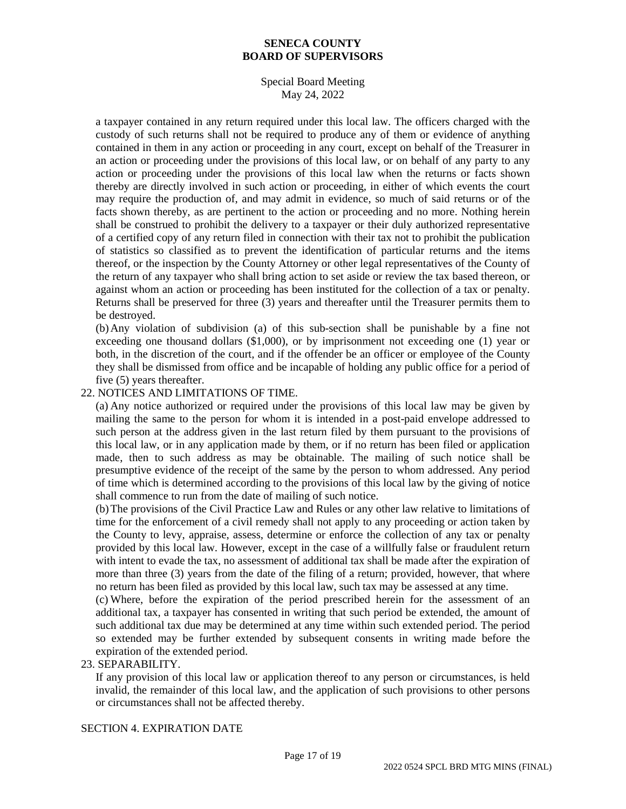## Special Board Meeting May 24, 2022

a taxpayer contained in any return required under this local law. The officers charged with the custody of such returns shall not be required to produce any of them or evidence of anything contained in them in any action or proceeding in any court, except on behalf of the Treasurer in an action or proceeding under the provisions of this local law, or on behalf of any party to any action or proceeding under the provisions of this local law when the returns or facts shown thereby are directly involved in such action or proceeding, in either of which events the court may require the production of, and may admit in evidence, so much of said returns or of the facts shown thereby, as are pertinent to the action or proceeding and no more. Nothing herein shall be construed to prohibit the delivery to a taxpayer or their duly authorized representative of a certified copy of any return filed in connection with their tax not to prohibit the publication of statistics so classified as to prevent the identification of particular returns and the items thereof, or the inspection by the County Attorney or other legal representatives of the County of the return of any taxpayer who shall bring action to set aside or review the tax based thereon, or against whom an action or proceeding has been instituted for the collection of a tax or penalty. Returns shall be preserved for three (3) years and thereafter until the Treasurer permits them to be destroyed.

(b)Any violation of subdivision (a) of this sub-section shall be punishable by a fine not exceeding one thousand dollars (\$1,000), or by imprisonment not exceeding one (1) year or both, in the discretion of the court, and if the offender be an officer or employee of the County they shall be dismissed from office and be incapable of holding any public office for a period of five (5) years thereafter.

## 22. NOTICES AND LIMITATIONS OF TIME.

(a) Any notice authorized or required under the provisions of this local law may be given by mailing the same to the person for whom it is intended in a post-paid envelope addressed to such person at the address given in the last return filed by them pursuant to the provisions of this local law, or in any application made by them, or if no return has been filed or application made, then to such address as may be obtainable. The mailing of such notice shall be presumptive evidence of the receipt of the same by the person to whom addressed. Any period of time which is determined according to the provisions of this local law by the giving of notice shall commence to run from the date of mailing of such notice.

(b)The provisions of the Civil Practice Law and Rules or any other law relative to limitations of time for the enforcement of a civil remedy shall not apply to any proceeding or action taken by the County to levy, appraise, assess, determine or enforce the collection of any tax or penalty provided by this local law. However, except in the case of a willfully false or fraudulent return with intent to evade the tax, no assessment of additional tax shall be made after the expiration of more than three (3) years from the date of the filing of a return; provided, however, that where no return has been filed as provided by this local law, such tax may be assessed at any time.

(c) Where, before the expiration of the period prescribed herein for the assessment of an additional tax, a taxpayer has consented in writing that such period be extended, the amount of such additional tax due may be determined at any time within such extended period. The period so extended may be further extended by subsequent consents in writing made before the expiration of the extended period.

#### 23. SEPARABILITY.

If any provision of this local law or application thereof to any person or circumstances, is held invalid, the remainder of this local law, and the application of such provisions to other persons or circumstances shall not be affected thereby.

## SECTION 4. EXPIRATION DATE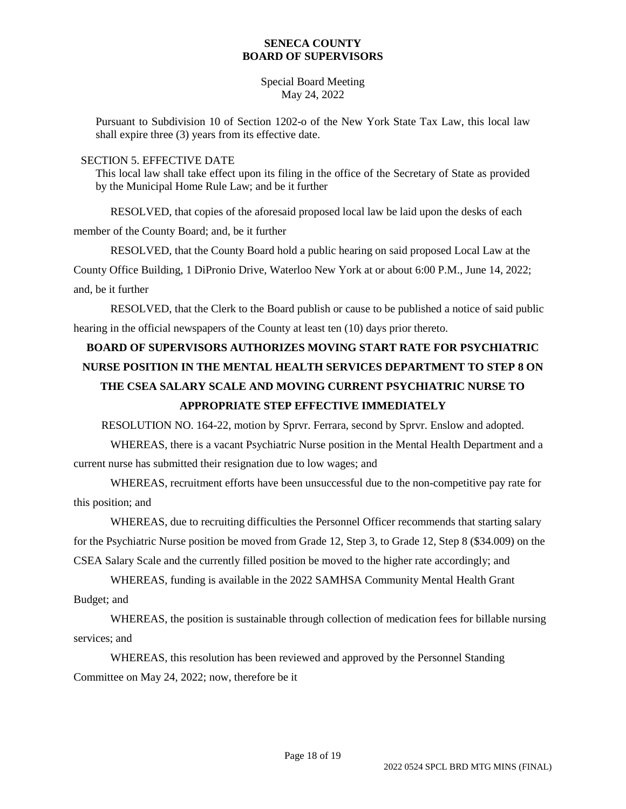Special Board Meeting May 24, 2022

Pursuant to Subdivision 10 of Section 1202-o of the New York State Tax Law, this local law shall expire three (3) years from its effective date.

#### SECTION 5. EFFECTIVE DATE

This local law shall take effect upon its filing in the office of the Secretary of State as provided by the Municipal Home Rule Law; and be it further

RESOLVED, that copies of the aforesaid proposed local law be laid upon the desks of each member of the County Board; and, be it further

RESOLVED, that the County Board hold a public hearing on said proposed Local Law at the County Office Building, 1 DiPronio Drive, Waterloo New York at or about 6:00 P.M., June 14, 2022; and, be it further

RESOLVED, that the Clerk to the Board publish or cause to be published a notice of said public hearing in the official newspapers of the County at least ten (10) days prior thereto.

# **BOARD OF SUPERVISORS AUTHORIZES MOVING START RATE FOR PSYCHIATRIC NURSE POSITION IN THE MENTAL HEALTH SERVICES DEPARTMENT TO STEP 8 ON THE CSEA SALARY SCALE AND MOVING CURRENT PSYCHIATRIC NURSE TO APPROPRIATE STEP EFFECTIVE IMMEDIATELY**

RESOLUTION NO. 164-22, motion by Sprvr. Ferrara, second by Sprvr. Enslow and adopted.

WHEREAS, there is a vacant Psychiatric Nurse position in the Mental Health Department and a current nurse has submitted their resignation due to low wages; and

WHEREAS, recruitment efforts have been unsuccessful due to the non-competitive pay rate for this position; and

WHEREAS, due to recruiting difficulties the Personnel Officer recommends that starting salary for the Psychiatric Nurse position be moved from Grade 12, Step 3, to Grade 12, Step 8 (\$34.009) on the CSEA Salary Scale and the currently filled position be moved to the higher rate accordingly; and

WHEREAS, funding is available in the 2022 SAMHSA Community Mental Health Grant Budget; and

WHEREAS, the position is sustainable through collection of medication fees for billable nursing services; and

WHEREAS, this resolution has been reviewed and approved by the Personnel Standing Committee on May 24, 2022; now, therefore be it